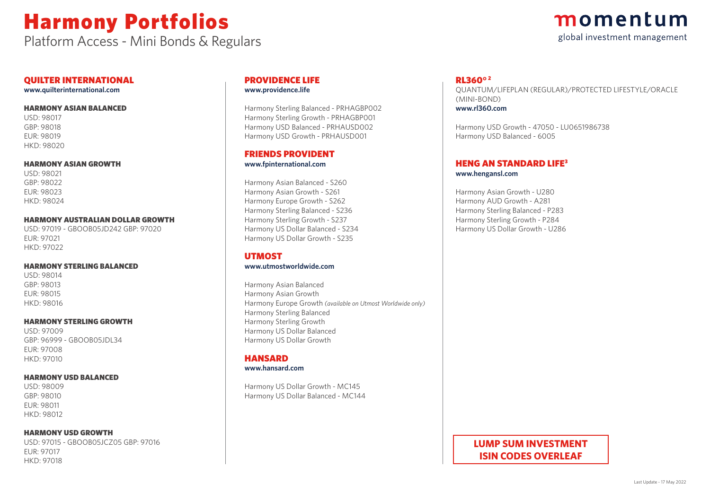Platform Access - Mini Bonds & Regulars

### momentum global investment management

#### QUILTER INTERNATIONAL

**www.quilterinternational.com**

#### HARMONY ASIAN BALANCED

USD: 98017 GBP: 98018 EUR: 98019 HKD: 98020

#### HARMONY ASIAN GROWTH

USD: 98021 GBP: 98022 EUR: 98023 HKD: 98024

#### HARMONY AUSTRALIAN DOLLAR GROWTH

USD: 97019 - GBOOB05JD242 GBP: 97020 EUR: 97021 HKD: 97022

#### HARMONY STERLING BALANCED

USD: 98014 GBP: 98013 EUR: 98015 HKD: 98016

#### HARMONY STERLING GROWTH

USD: 97009 GBP: 96999 - GBOOB05JDL34 EUR: 97008 HKD: 97010

#### HARMONY USD BALANCED

USD: 98009 GBP: 98010 EUR: 98011 HKD: 98012

#### HARMONY USD GROWTH

USD: 97015 - GBOOB05JCZ05 GBP: 97016 EUR: 97017 HKD: 97018

#### PROVIDENCE LIFE **www.providence.life**

Harmony Sterling Balanced - PRHAGBP002

Harmony Sterling Growth - PRHAGBP001 Harmony USD Balanced - PRHAUSD002 Harmony USD Growth - PRHAUSD001

#### FRIENDS PROVIDENT **www.fpinternational.com**

Harmony Asian Balanced - S260 Harmony Asian Growth - S261 Harmony Europe Growth - S262 Harmony Sterling Balanced - S236 Harmony Sterling Growth - S237 Harmony US Dollar Balanced - S234 Harmony US Dollar Growth - S235

#### UTMOST **www.utmostworldwide.com**

Harmony Asian Balanced Harmony Asian Growth Harmony Europe Growth *(available on Utmost Worldwide only)* Harmony Sterling Balanced Harmony Sterling Growth Harmony US Dollar Balanced Harmony US Dollar Growth

#### **HANSARD**

#### **www.hansard.com**

Harmony US Dollar Growth - MC145 Harmony US Dollar Balanced - MC144

#### RL360° <sup>2</sup>

QUANTUM/LIFEPLAN (REGULAR)/PROTECTED LIFESTYLE/ORACLE (MINI-BOND) **www.rl360.com**

Harmony USD Growth - 47050 - LU0651986738 Harmony USD Balanced - 6005

#### HENG AN STANDARD LIFE<sup>3</sup> **www.hengansl.com**

Harmony Asian Growth - U280 Harmony AUD Growth - A281 Harmony Sterling Balanced - P283 Harmony Sterling Growth - P284 Harmony US Dollar Growth - U286

#### **LUMP SUM INVESTMENT ISIN CODES OVERLEAF**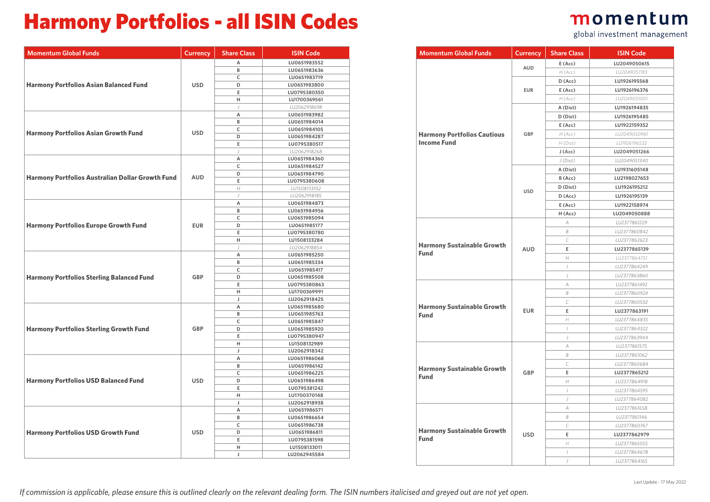### Harmony Portfolios - all ISIN Codes

| <b>Momentum Global Funds</b>                            | Currency   | <b>Share Class</b> | <b>ISIN Code</b>             |
|---------------------------------------------------------|------------|--------------------|------------------------------|
|                                                         |            | A                  | LU0651983552                 |
|                                                         |            | B                  | LU0651983636                 |
|                                                         |            | C                  | LU0651983719                 |
| <b>Harmony Portfolios Asian Balanced Fund</b>           | <b>USD</b> | D                  | LU0651983800                 |
|                                                         |            | Ε                  | LU0795380350                 |
|                                                         |            | H                  | LU1700369561                 |
|                                                         |            | J                  | LU2062918698                 |
|                                                         |            | Α                  | LU0651983982                 |
|                                                         |            | B                  | LU0651984014                 |
|                                                         |            | C                  | LU0651984105                 |
| <b>Harmony Portfolios Asian Growth Fund</b>             | <b>USD</b> | D                  | LU0651984287                 |
|                                                         |            | Е                  | LU0795380517                 |
|                                                         |            | $\overline{1}$     | LU2062918268                 |
|                                                         |            | A                  | LU0651984360                 |
|                                                         |            | C                  | LU0651984527                 |
|                                                         |            | D                  | LU0651984790                 |
| <b>Harmony Portfolios Australian Dollar Growth Fund</b> | <b>AUD</b> | E                  | LU0795380608                 |
|                                                         |            | H                  | LU1508133102                 |
|                                                         |            | $\overline{1}$     | LU2062918185                 |
|                                                         |            | Α                  | LU0651984873                 |
|                                                         |            | B                  | LU0651984956                 |
|                                                         |            | C                  | LU0651985094                 |
| <b>Harmony Portfolios Europe Growth Fund</b>            | <b>EUR</b> | D                  | LU0651985177                 |
|                                                         |            | Е                  | LU0795380780                 |
|                                                         |            | Н                  | LU1508133284                 |
|                                                         |            | J                  | LU2062918854                 |
|                                                         |            | A                  | LU0651985250                 |
|                                                         |            | B                  | LU0651985334                 |
|                                                         |            | C                  | LU0651985417                 |
| <b>Harmony Portfolios Sterling Balanced Fund</b>        | GBP        | D                  | LU0651985508                 |
|                                                         |            | E                  | LU0795380863                 |
|                                                         |            | H                  | LU1700369991                 |
|                                                         |            | J                  | LU2062918425                 |
|                                                         |            | A                  | LU0651985680                 |
|                                                         |            | B                  | LU0651985763                 |
|                                                         |            | C                  | LU0651985847                 |
| <b>Harmony Portfolios Sterling Growth Fund</b>          | GBP        | D                  | LU0651985920                 |
|                                                         |            | Ε                  | LU0795380947                 |
|                                                         |            | Н                  | LU1508132989                 |
|                                                         |            | J                  | LU2062918342                 |
|                                                         |            | Α                  | LU0651986068                 |
|                                                         |            | B                  | LU0651986142                 |
|                                                         |            | C                  | LU0651986225                 |
| <b>Harmony Portfolios USD Balanced Fund</b>             | <b>USD</b> | D                  | LU0651986498                 |
|                                                         |            | Е                  | LU0795381242                 |
|                                                         |            | Н                  | LU1700370148                 |
|                                                         |            | J                  | LU2062918938                 |
|                                                         |            | A                  | LU0651986571                 |
|                                                         |            | B                  | LU0651986654                 |
|                                                         |            | C                  | LU0651986738                 |
| <b>Harmony Portfolios USD Growth Fund</b>               | <b>USD</b> | D                  | LU0651986811                 |
|                                                         |            | E                  |                              |
|                                                         |            | Н                  | LU0795381598<br>LU1508133011 |
|                                                         |            | J                  | LU2062945584                 |
|                                                         |            |                    |                              |

|                    | momentum<br>global investment management |  |
|--------------------|------------------------------------------|--|
| <b>Share Class</b> | <b>ISIN Code</b>                         |  |
| E(Acc)             | LU2049050615                             |  |
| H (Acc)            | 11J2049051183                            |  |
| $R/A = N$          | 11110271000770                           |  |

| <b>Momentum Global Funds</b>                     | <b>Currency</b> | <b>Share Class</b>          | <b>ISIN Code</b> |
|--------------------------------------------------|-----------------|-----------------------------|------------------|
|                                                  | AUD             | E(Acc)                      | LU2049050615     |
|                                                  |                 | H (Acc)                     | 1U2049051183     |
|                                                  |                 | $D$ (Acc)                   | LU1926195568     |
|                                                  | <b>EUR</b>      | E(Acc)                      | LU1926196376     |
|                                                  |                 | H (Acc)                     | LU2049051001     |
|                                                  |                 | A (Dist)                    | LU1926194835     |
|                                                  |                 | D (Dist)                    | LU1926195485     |
|                                                  |                 | E(Acc)                      | LU1922159352     |
| <b>Harmony Portfolios Cautious</b>               | GBP             | H (Acc)                     | LU2049050961     |
| <b>Income Fund</b>                               |                 | H (Dist)                    | LU1926196533     |
|                                                  |                 | J (Acc)                     | LU2049051266     |
|                                                  |                 | J(Dist)                     | LU2049051340     |
|                                                  |                 | A (Dist)                    | LU1931605148     |
|                                                  |                 | B (Acc)                     | LU2198027653     |
|                                                  | <b>USD</b>      | D (Dist)                    | LU1926195212     |
|                                                  |                 | $D$ (Acc)                   | LU1926195139     |
|                                                  |                 | E(Acc)                      | LU1922158974     |
|                                                  |                 | H (Acc)                     | LU2049050888     |
|                                                  |                 | $\overline{A}$              | LU2377861229     |
|                                                  |                 | B                           | LU2377860842     |
| <b>Harmony Sustainable Growth</b>                |                 | $\mathcal{C}_{\mathcal{C}}$ | LU2377862623     |
| <b>Fund</b>                                      | <b>AUD</b>      | E                           | LU2377865139     |
|                                                  |                 | H                           | LU2377864751     |
|                                                  |                 | $\overline{1}$              | LU2377864249     |
|                                                  |                 | J                           | LU2377863860     |
|                                                  |                 | $\overline{A}$              | LU2377861492     |
|                                                  |                 | B                           | LU2377860924     |
| <b>Harmony Sustainable Growth</b>                |                 | $\mathcal{C}$               | LU2377860502     |
| <b>Fund</b>                                      | <b>EUR</b>      | E                           | LU2377863191     |
|                                                  |                 | H                           | LU2377864835     |
|                                                  |                 | $\overline{1}$              | LU2377864322     |
|                                                  |                 | $\int$                      | LU2377863944     |
|                                                  |                 | A                           | LU2377861575     |
|                                                  |                 | B                           | LU2377861062     |
|                                                  |                 | $\mathcal{C}$               | LU2377860684     |
| <b>Harmony Sustainable Growth</b><br><b>Fund</b> | GBP             | E                           | LU2377865212     |
|                                                  |                 | H                           | LU2377864918     |
|                                                  |                 | $\overline{1}$              | LU2377864595     |
|                                                  |                 | $\int$                      | LU2377864082     |
|                                                  |                 | $\overline{A}$              | LU2377861658     |
|                                                  |                 | B                           | LU2377861146     |
|                                                  |                 | $\mathcal{C}$               | LU2377860767     |
| <b>Harmony Sustainable Growth</b><br><b>Fund</b> | <b>USD</b>      | E                           | LU2377862979     |
|                                                  |                 | H                           | LU2377865055     |
|                                                  |                 | $\overline{1}$              | LU2377864678     |
|                                                  |                 | $\overline{1}$              | LU2377864165     |
|                                                  |                 |                             |                  |

*If commission is applicable, please ensure this is outlined clearly on the relevant dealing form. The ISIN numbers italicised and greyed out are not yet open.*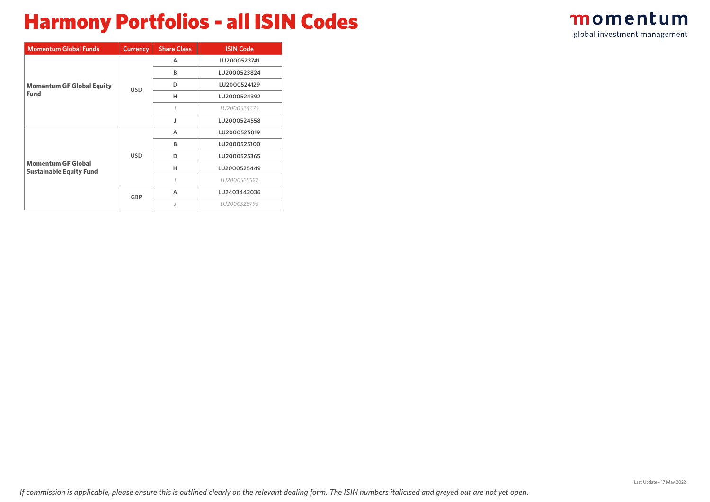## Harmony Portfolios - all ISIN Codes

| momentum                     |  |  |
|------------------------------|--|--|
| global investment management |  |  |

| <b>Momentum Global Funds</b>                                | <b>Currency</b> | <b>Share Class</b> | <b>ISIN Code</b> |
|-------------------------------------------------------------|-----------------|--------------------|------------------|
|                                                             |                 | A                  | LU2000523741     |
|                                                             |                 | B                  | LU2000523824     |
| <b>Momentum GF Global Equity</b>                            | <b>USD</b>      | D                  | LU2000524129     |
| <b>Fund</b>                                                 |                 | н                  | LU2000524392     |
|                                                             |                 |                    | LU2000524475     |
|                                                             |                 | J                  | LU2000524558     |
|                                                             |                 | A                  | LU2000525019     |
|                                                             |                 | B                  | LU2000525100     |
|                                                             | <b>USD</b>      | D                  | LU2000525365     |
| <b>Momentum GF Global</b><br><b>Sustainable Equity Fund</b> |                 | н                  | LU2000525449     |
|                                                             |                 |                    | LU2000525522     |
|                                                             | GBP             | A                  | LU2403442036     |
|                                                             |                 |                    | LU2000525795     |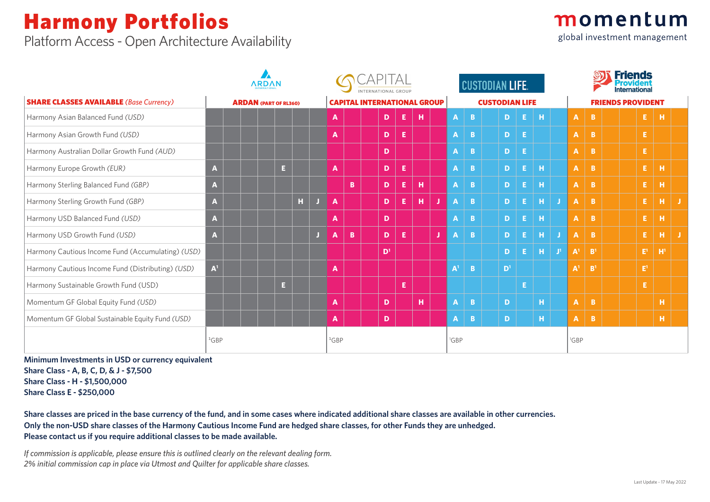Platform Access - Open Architecture Availability

|  | momentum |  |
|--|----------|--|
|  |          |  |

global investment management

|                                                   | <b>ARDAN</b>   |                              |    |    | <b>INTERNATIONAL GROUP</b> |    |  |                                    |    |   |   |                  |              | <b>CUSTODIAN LIFE.</b> |                |              |              | <b>Friends</b><br>Internationa |                          |                |  |  |              |     |  |  |
|---------------------------------------------------|----------------|------------------------------|----|----|----------------------------|----|--|------------------------------------|----|---|---|------------------|--------------|------------------------|----------------|--------------|--------------|--------------------------------|--------------------------|----------------|--|--|--------------|-----|--|--|
| <b>SHARE CLASSES AVAILABLE</b> (Base Currency)    |                | <b>ARDAN (PART OF RL360)</b> |    |    |                            |    |  | <b>CAPITAL INTERNATIONAL GROUP</b> |    |   |   |                  |              | <b>CUSTODIAN LIFE</b>  |                |              |              |                                | <b>FRIENDS PROVIDENT</b> |                |  |  |              |     |  |  |
| Harmony Asian Balanced Fund (USD)                 |                |                              |    |    | A                          |    |  | D.                                 | E. | н |   | <b>A</b>         | B.           |                        | $\mathbf{D}$   | -E I         | н            |                                | A                        | B.             |  |  | E.           | н   |  |  |
| Harmony Asian Growth Fund (USD)                   |                |                              |    |    | A                          |    |  | D                                  | Е  |   |   | $\mathbf{A}$     | B.           |                        | $D$ $E$        |              |              |                                | A.                       | B.             |  |  | E.           |     |  |  |
| Harmony Australian Dollar Growth Fund (AUD)       |                |                              |    |    |                            |    |  | D                                  |    |   |   | $\mathbf{A}$     | B.           |                        | - El<br>D      |              |              |                                | A.                       | B.             |  |  | E.           |     |  |  |
| Harmony Europe Growth (EUR)                       | A              | E.                           |    |    | A                          |    |  | D                                  | Е  |   |   | $\mathbf{A}$     | B            |                        | $\mathbf{D}$   | EI           | <b>H</b>     |                                | A.                       | $\mathbf{B}$   |  |  | $E_{\rm{H}}$ | н   |  |  |
| Harmony Sterling Balanced Fund (GBP)              | A              |                              |    |    |                            | B. |  | D                                  | Е  | н |   | $\mathbf{A}$     | $\mathbf{B}$ |                        | D.             | EI           | <b>H</b>     |                                | A.                       | $\mathbf{B}$   |  |  | E            | н   |  |  |
| Harmony Sterling Growth Fund (GBP)                | A              |                              | П, |    | A                          |    |  | D                                  | E. | н | J | A                | B.           |                        | D.             | EI           | $\mathbf{H}$ |                                | A.                       | $\mathbf{B}$   |  |  | E.           | н   |  |  |
| Harmony USD Balanced Fund (USD)                   | A              |                              |    |    | A                          |    |  | D                                  |    |   |   | $\mathbf{A}$     | B.           |                        | D.             | Æ.           | <b>H</b>     |                                | A.                       | $\mathbf{B}$   |  |  | E.           | н   |  |  |
| Harmony USD Growth Fund (USD)                     | A              |                              |    | J. | A                          | B. |  | D                                  | E  |   | J | $\mathbf{A}$     | B.           |                        | D.             | E.           | н            | J.                             | A.                       | $\mathbf{B}$   |  |  | E.           | н   |  |  |
| Harmony Cautious Income Fund (Accumulating) (USD) |                |                              |    |    |                            |    |  | D <sup>1</sup>                     |    |   |   |                  |              |                        | D.             | EI           | ¢            | $\mathbf{J}^1$                 | ${\sf A}^1$              | B <sup>1</sup> |  |  | $E^1$        | -H' |  |  |
| Harmony Cautious Income Fund (Distributing) (USD) | A <sup>1</sup> |                              |    |    | A                          |    |  |                                    |    |   |   | A <sup>1</sup>   | B.           |                        | D <sup>1</sup> |              |              |                                | $A^1$                    | B <sup>1</sup> |  |  | $E^1$        |     |  |  |
| Harmony Sustainable Growth Fund (USD)             |                | E.                           |    |    |                            |    |  |                                    | E  |   |   |                  |              |                        |                | $\mathsf{E}$ |              |                                |                          |                |  |  | E.           |     |  |  |
| Momentum GF Global Equity Fund (USD)              |                |                              |    |    | A                          |    |  | D                                  |    | н |   | $\mathbf{A}$     | B.           |                        | D              |              | н.           |                                | A.                       | $\overline{B}$ |  |  |              | н   |  |  |
| Momentum GF Global Sustainable Equity Fund (USD)  |                |                              |    |    | A                          |    |  | D                                  |    |   |   | $\mathbf{A}$     | B.           |                        | D              |              | H.           |                                | $\mathbf{A}$             | $\overline{B}$ |  |  |              | н.  |  |  |
|                                                   | ${}^{1}$ GBP   |                              |    |    | ${}^{1}$ GBP               |    |  |                                    |    |   |   | <sup>1</sup> GBP |              |                        |                |              |              |                                | <sup>1</sup> GBP         |                |  |  |              |     |  |  |

**Minimum Investments in USD or currency equivalent Share Class - A, B, C, D, & J - \$7,500 Share Class - H - \$1,500,000 Share Class E - \$250,000**

**Share classes are priced in the base currency of the fund, and in some cases where indicated additional share classes are available in other currencies. Only the non-USD share classes of the Harmony Cautious Income Fund are hedged share classes, for other Funds they are unhedged. Please contact us if you require additional classes to be made available.** 

*If commission is applicable, please ensure this is outlined clearly on the relevant dealing form. 2% initial commission cap in place via Utmost and Quilter for applicable share classes.*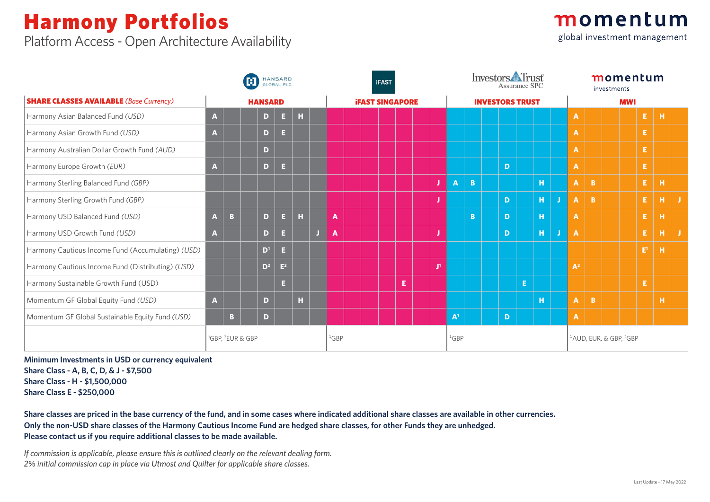Platform Access - Open Architecture Availability



|                                                   |              | <b>HANSARD</b><br>M<br><b>GLOBAL PLC</b> |  |                |                |             |    |              |              |  | <b>iFAST</b> |                        |  |   |                   | Investors Frust<br>Assurance SPC       |                                                |    | momentum<br>investments |                           |  |  |              |          |    |  |  |
|---------------------------------------------------|--------------|------------------------------------------|--|----------------|----------------|-------------|----|--------------|--------------|--|--------------|------------------------|--|---|-------------------|----------------------------------------|------------------------------------------------|----|-------------------------|---------------------------|--|--|--------------|----------|----|--|--|
| <b>SHARE CLASSES AVAILABLE</b> (Base Currency)    |              | <b>HANSARD</b>                           |  |                |                |             |    |              |              |  |              | <b>IFAST SINGAPORE</b> |  |   |                   | <b>INVESTORS TRUST</b>                 | <b>MWI</b>                                     |    |                         |                           |  |  |              |          |    |  |  |
| Harmony Asian Balanced Fund (USD)                 | A            |                                          |  | D.             | $\mathbf{E}$ . | $\mathbf H$ |    |              |              |  |              |                        |  |   |                   |                                        |                                                |    | A                       |                           |  |  | E.           | <b>H</b> |    |  |  |
| Harmony Asian Growth Fund (USD)                   | A            |                                          |  | $\mathbf D$    | $\mathbf{E}$   |             |    |              |              |  |              |                        |  |   |                   |                                        |                                                |    | A                       |                           |  |  | Е            |          |    |  |  |
| Harmony Australian Dollar Growth Fund (AUD)       |              |                                          |  | D.             |                |             |    |              |              |  |              |                        |  |   |                   |                                        |                                                |    | A                       |                           |  |  | Е.           |          |    |  |  |
| Harmony Europe Growth (EUR)                       | A            |                                          |  | $\mathbf{D}$   | $\mathbf{E}$   |             |    |              |              |  |              |                        |  |   |                   | D                                      |                                                |    | A                       |                           |  |  | E.           |          |    |  |  |
| Harmony Sterling Balanced Fund (GBP)              |              |                                          |  |                |                |             |    |              |              |  |              |                        |  | J | $\mathbf{A}$<br>B |                                        | н                                              |    | $\mathbf{A}$            | $\overline{B}$            |  |  | E.           | H        |    |  |  |
| Harmony Sterling Growth Fund (GBP)                |              |                                          |  |                |                |             |    |              |              |  |              |                        |  |   |                   | $\mathbf{D}$                           | н.                                             |    | $\mathbf{A}$            | $\overline{B}$            |  |  | Е.           | н        | J. |  |  |
| Harmony USD Balanced Fund (USD)                   | A            | $\mathbf{B}$                             |  | D              | $\mathbf{E}$ . | H           |    | A            |              |  |              |                        |  |   | B                 | D                                      | H.                                             |    | A                       |                           |  |  | E.           | н        |    |  |  |
| Harmony USD Growth Fund (USD)                     | A            |                                          |  | $\mathbf{D}$   | E.             |             | J. | $\mathbf{A}$ |              |  |              |                        |  |   |                   | $\mathbf{D}$                           | н.                                             | IJ | A                       |                           |  |  | Е.           | н        | J. |  |  |
| Harmony Cautious Income Fund (Accumulating) (USD) |              |                                          |  | $\mathbf{D}^1$ | $\mathbf{E}$   |             |    |              |              |  |              |                        |  |   |                   |                                        |                                                |    |                         |                           |  |  | $E^1$        | н        |    |  |  |
| Harmony Cautious Income Fund (Distributing) (USD) |              |                                          |  | $D^2$          | $\mathbb{E}^2$ |             |    |              |              |  |              |                        |  | л |                   |                                        |                                                |    | $A^2$                   |                           |  |  |              |          |    |  |  |
| Harmony Sustainable Growth Fund (USD)             |              |                                          |  |                | E.             |             |    |              |              |  |              | E                      |  |   |                   | $\mathsf{E}^{\scriptscriptstyle \top}$ |                                                |    |                         |                           |  |  | $\mathbf{E}$ |          |    |  |  |
| Momentum GF Global Equity Fund (USD)              | $\mathbf{A}$ |                                          |  | D              |                | н           |    |              |              |  |              |                        |  |   |                   |                                        | H.                                             |    |                         | $\mathbf{A}$ $\mathbf{B}$ |  |  |              | H        |    |  |  |
| Momentum GF Global Sustainable Equity Fund (USD)  |              | B                                        |  | D              |                |             |    |              |              |  |              |                        |  |   | A <sup>1</sup>    | D                                      |                                                |    | A                       |                           |  |  |              |          |    |  |  |
|                                                   |              | <sup>1</sup> GBP, <sup>2</sup> EUR & GBP |  |                |                |             |    | ${}^{1}$ GBP | ${}^{1}$ GBP |  |              |                        |  |   |                   |                                        | <sup>1</sup> AUD, EUR, & GBP, <sup>2</sup> GBP |    |                         |                           |  |  |              |          |    |  |  |

**Minimum Investments in USD or currency equivalent Share Class - A, B, C, D, & J - \$7,500 Share Class - H - \$1,500,000 Share Class E - \$250,000**

**Share classes are priced in the base currency of the fund, and in some cases where indicated additional share classes are available in other currencies. Only the non-USD share classes of the Harmony Cautious Income Fund are hedged share classes, for other Funds they are unhedged. Please contact us if you require additional classes to be made available.** 

*If commission is applicable, please ensure this is outlined clearly on the relevant dealing form. 2% initial commission cap in place via Utmost and Quilter for applicable share classes.*